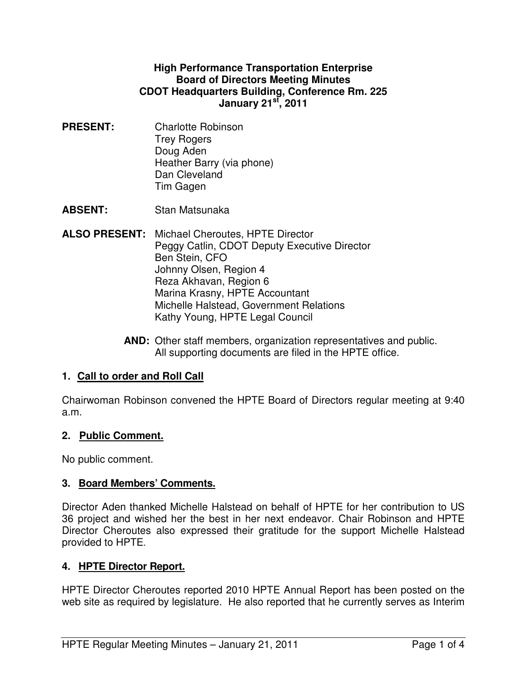#### **High Performance Transportation Enterprise Board of Directors Meeting Minutes CDOT Headquarters Building, Conference Rm. 225 January 21st, 2011**

- **PRESENT:** Charlotte Robinson Trey Rogers Doug Aden Heather Barry (via phone) Dan Cleveland Tim Gagen
- **ABSENT:** Stan Matsunaka
- **ALSO PRESENT:** Michael Cheroutes, HPTE Director Peggy Catlin, CDOT Deputy Executive Director Ben Stein, CFO Johnny Olsen, Region 4 Reza Akhavan, Region 6 Marina Krasny, HPTE Accountant Michelle Halstead, Government Relations Kathy Young, HPTE Legal Council
	- **AND:** Other staff members, organization representatives and public. All supporting documents are filed in the HPTE office.

# **1. Call to order and Roll Call**

Chairwoman Robinson convened the HPTE Board of Directors regular meeting at 9:40 a.m.

### **2. Public Comment.**

No public comment.

### **3. Board Members' Comments.**

Director Aden thanked Michelle Halstead on behalf of HPTE for her contribution to US 36 project and wished her the best in her next endeavor. Chair Robinson and HPTE Director Cheroutes also expressed their gratitude for the support Michelle Halstead provided to HPTE.

### **4. HPTE Director Report.**

HPTE Director Cheroutes reported 2010 HPTE Annual Report has been posted on the web site as required by legislature. He also reported that he currently serves as Interim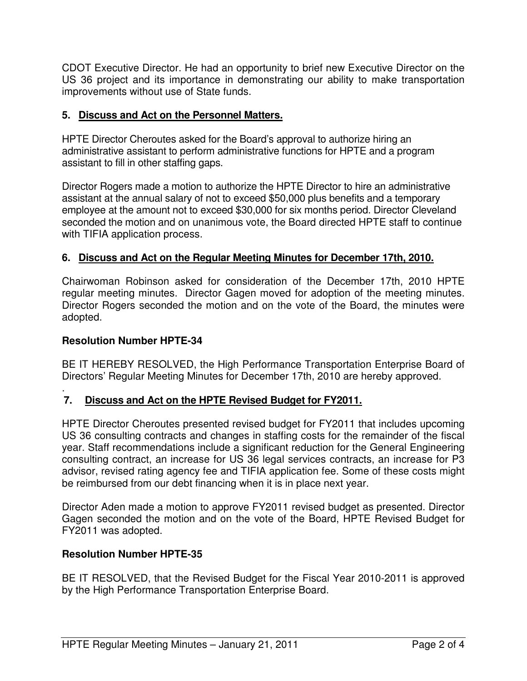CDOT Executive Director. He had an opportunity to brief new Executive Director on the US 36 project and its importance in demonstrating our ability to make transportation improvements without use of State funds.

### **5. Discuss and Act on the Personnel Matters.**

HPTE Director Cheroutes asked for the Board's approval to authorize hiring an administrative assistant to perform administrative functions for HPTE and a program assistant to fill in other staffing gaps.

Director Rogers made a motion to authorize the HPTE Director to hire an administrative assistant at the annual salary of not to exceed \$50,000 plus benefits and a temporary employee at the amount not to exceed \$30,000 for six months period. Director Cleveland seconded the motion and on unanimous vote, the Board directed HPTE staff to continue with TIFIA application process.

# **6. Discuss and Act on the Regular Meeting Minutes for December 17th, 2010.**

Chairwoman Robinson asked for consideration of the December 17th, 2010 HPTE regular meeting minutes. Director Gagen moved for adoption of the meeting minutes. Director Rogers seconded the motion and on the vote of the Board, the minutes were adopted.

#### **Resolution Number HPTE-34**

BE IT HEREBY RESOLVED, the High Performance Transportation Enterprise Board of Directors' Regular Meeting Minutes for December 17th, 2010 are hereby approved.

#### . **7. Discuss and Act on the HPTE Revised Budget for FY2011.**

HPTE Director Cheroutes presented revised budget for FY2011 that includes upcoming US 36 consulting contracts and changes in staffing costs for the remainder of the fiscal year. Staff recommendations include a significant reduction for the General Engineering consulting contract, an increase for US 36 legal services contracts, an increase for P3 advisor, revised rating agency fee and TIFIA application fee. Some of these costs might be reimbursed from our debt financing when it is in place next year.

Director Aden made a motion to approve FY2011 revised budget as presented. Director Gagen seconded the motion and on the vote of the Board, HPTE Revised Budget for FY2011 was adopted.

#### **Resolution Number HPTE-35**

BE IT RESOLVED, that the Revised Budget for the Fiscal Year 2010-2011 is approved by the High Performance Transportation Enterprise Board.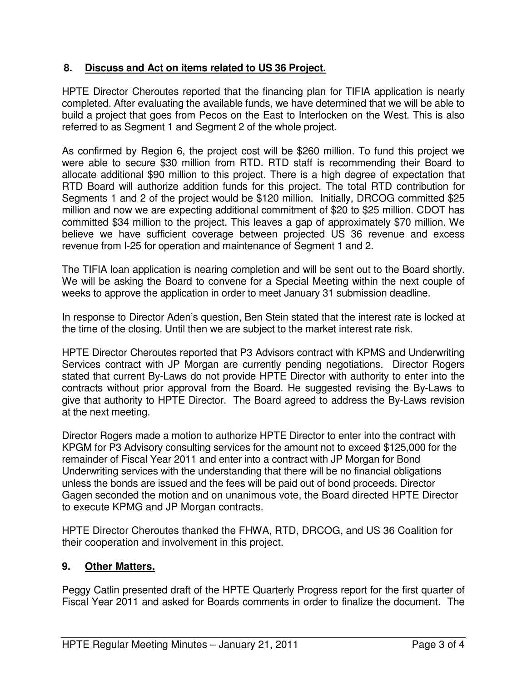## **8. Discuss and Act on items related to US 36 Project.**

HPTE Director Cheroutes reported that the financing plan for TIFIA application is nearly completed. After evaluating the available funds, we have determined that we will be able to build a project that goes from Pecos on the East to Interlocken on the West. This is also referred to as Segment 1 and Segment 2 of the whole project.

As confirmed by Region 6, the project cost will be \$260 million. To fund this project we were able to secure \$30 million from RTD. RTD staff is recommending their Board to allocate additional \$90 million to this project. There is a high degree of expectation that RTD Board will authorize addition funds for this project. The total RTD contribution for Segments 1 and 2 of the project would be \$120 million. Initially, DRCOG committed \$25 million and now we are expecting additional commitment of \$20 to \$25 million. CDOT has committed \$34 million to the project. This leaves a gap of approximately \$70 million. We believe we have sufficient coverage between projected US 36 revenue and excess revenue from I-25 for operation and maintenance of Segment 1 and 2.

The TIFIA loan application is nearing completion and will be sent out to the Board shortly. We will be asking the Board to convene for a Special Meeting within the next couple of weeks to approve the application in order to meet January 31 submission deadline.

In response to Director Aden's question, Ben Stein stated that the interest rate is locked at the time of the closing. Until then we are subject to the market interest rate risk.

HPTE Director Cheroutes reported that P3 Advisors contract with KPMS and Underwriting Services contract with JP Morgan are currently pending negotiations. Director Rogers stated that current By-Laws do not provide HPTE Director with authority to enter into the contracts without prior approval from the Board. He suggested revising the By-Laws to give that authority to HPTE Director. The Board agreed to address the By-Laws revision at the next meeting.

Director Rogers made a motion to authorize HPTE Director to enter into the contract with KPGM for P3 Advisory consulting services for the amount not to exceed \$125,000 for the remainder of Fiscal Year 2011 and enter into a contract with JP Morgan for Bond Underwriting services with the understanding that there will be no financial obligations unless the bonds are issued and the fees will be paid out of bond proceeds. Director Gagen seconded the motion and on unanimous vote, the Board directed HPTE Director to execute KPMG and JP Morgan contracts.

HPTE Director Cheroutes thanked the FHWA, RTD, DRCOG, and US 36 Coalition for their cooperation and involvement in this project.

# **9. Other Matters.**

Peggy Catlin presented draft of the HPTE Quarterly Progress report for the first quarter of Fiscal Year 2011 and asked for Boards comments in order to finalize the document. The